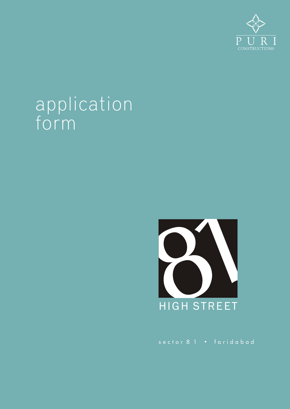

## application form



sector 8 1 • faridabad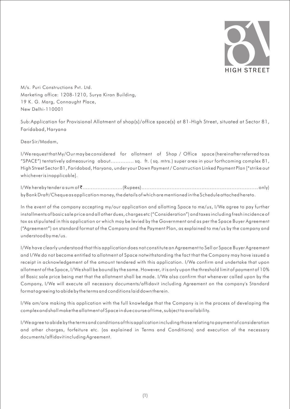

M/s. Puri Constructions Pvt. Ltd. Marketing office: 1208-1210, Surya Kiran Building, 19 K. G. Marg, Connaught Place, New Delhi-110001

Sub:Application for Provisional Allotment of shop(s)/office space(s) at 81-High Street, situated at Sector 81, Faridabad, Haryana

Dear Sir/Madam,

I/We request that My/Our may be considered for allotment of Shop / Office space (hereinafter referred to as "SPACE") tentatively admeasuring about.............. sq. ft. ( sq. mtrs.) super area in your forthcoming complex 81, High Street Sector 81, Faridabad, Haryana, under your Down Payment / Construction Linked Payment Plan [\*strike out whichever is inapplicable].

I/We hereby tender a sum of `........................(Rupees)...................................................................... only) by Bank Draft/Cheque as application money, the details of which are mentioned in the Schedule attached hereto.

In the event of the company accepting my/our application and allotting Space to me/us, I/We agree to pay further installments of basic sale price and all other dues, charges etc ("Consideration") and taxes including fresh incidence of tax as stipulated in this application or which may be levied by the Government and as per the Space Buyer Agreement ("Agreement") on standard format of the Company and the Payment Plan, as explained to me/us by the company and understood by me/us.

I/We have clearly understood that this application does not constitute an Agreement to Sell or Space Buyer Agreement and I/We do not become entitled to allotment of Space notwithstanding the fact that the Company may have issued a receipt in acknowledgement of the amount tendered with this application. I/We confirm and undertake that upon allotment of the Space, I/We shall be bound by the same. However, it is only upon the threshold limit of payment of 10% of Basic sale price being met that the allotment shall be made. I/We also confirm that whenever called upon by the Company, I/We will execute all necessary documents/affidavit including Agreement on the company's Standard format agreeing to abide by the terms and conditions laid down therein.

l/We am/are making this application with the full knowledge that the Company is in the process of developing the complex and shall make the allotment of Space in due course of time, subject to availability.

I/We agree to abide by the terms and conditions of this application including those relating to payment of consideration and other charges, forfeiture etc. (as explained in Terms and Conditions) and execution of the necessary documents/affidavit including Agreement.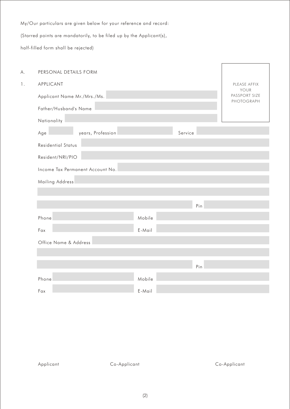My/Our particulars are given below for your reference and record:

(Starred points are mandatorily, to be filed up by the Applicant(s),

half-filled form shall be rejected)

| Α. | PERSONAL DETAILS FORM            |        |         |                             |
|----|----------------------------------|--------|---------|-----------------------------|
| 1. | APPLICANT                        |        |         | PLEASE AFFIX<br>YOUR        |
|    | Applicant Name Mr./Mrs./Ms.      |        |         | PASSPORT SIZE<br>PHOTOGRAPH |
|    | Father/Husband's Name            |        |         |                             |
|    | Nationality                      |        |         |                             |
|    | years, Profession<br>Age         |        | Service |                             |
|    | <b>Residential Status</b>        |        |         |                             |
|    | Resident/NRI/PIO                 |        |         |                             |
|    | Income Tax Permanent Account No. |        |         |                             |
|    | Mailing Address                  |        |         |                             |
|    |                                  |        |         |                             |
|    |                                  |        | Pin     |                             |
|    | Phone                            | Mobile |         |                             |
|    | Fax                              | E-Mail |         |                             |
|    | Office Name & Address            |        |         |                             |
|    |                                  |        |         |                             |
|    |                                  |        | Pin     |                             |
|    | Phone                            | Mobile |         |                             |
|    | Fax                              | E-Mail |         |                             |
|    |                                  |        |         |                             |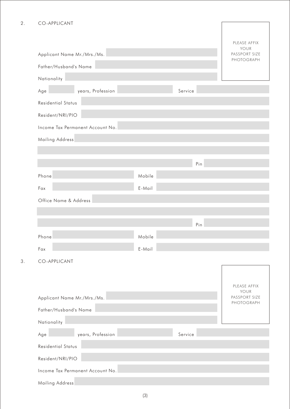## 2. CO-APPLICANT

 $3.$ 

|                                  |        |         | PLEASE AFFIX<br>YOUR        |
|----------------------------------|--------|---------|-----------------------------|
| Applicant Name Mr./Mrs./Ms.      |        |         | PASSPORT SIZE<br>PHOTOGRAPH |
| Father/Husband's Name            |        |         |                             |
| Nationality                      |        |         |                             |
| years, Profession<br>Age         |        | Service |                             |
| <b>Residential Status</b>        |        |         |                             |
| Resident/NRI/PIO                 |        |         |                             |
| Income Tax Permanent Account No. |        |         |                             |
| Mailing Address                  |        |         |                             |
|                                  |        |         |                             |
|                                  |        | Pin     |                             |
| Phone                            | Mobile |         |                             |
| Fax                              | E-Mail |         |                             |
| Office Name & Address            |        |         |                             |
|                                  |        |         |                             |
|                                  |        | Pin     |                             |
| Phone                            | Mobile |         |                             |
| Fax                              | E-Mail |         |                             |
| CO-APPLICANT                     |        |         |                             |
|                                  |        |         |                             |
|                                  |        |         | PLEASE AFFIX                |
| Applicant Name Mr./Mrs./Ms.      |        |         | YOUR<br>PASSPORT SIZE       |
| Father/Husband's Name            |        |         | PHOTOGRAPH                  |
| Nationality                      |        |         |                             |
| years, Profession<br>Age         |        | Service |                             |
| <b>Residential Status</b>        |        |         |                             |
| Resident/NRI/PIO                 |        |         |                             |
| Income Tax Permanent Account No. |        |         |                             |
| Mailing Address                  |        |         |                             |
|                                  |        |         |                             |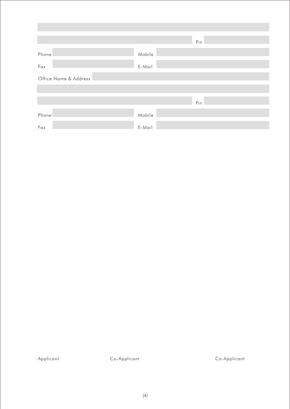|                                                       |        | Pin                                                                                                                   |
|-------------------------------------------------------|--------|-----------------------------------------------------------------------------------------------------------------------|
| Phone                                                 | Mobile |                                                                                                                       |
| <u> 1999 - Jan Barnett, politik politik po</u><br>Fax | E-Mail | <u> 1990 - Jan Barnett, mars et al. 1990 - Anna ann an t-Anna ann an t-Anna ann an t-Anna ann an t-Anna ann an t-</u> |
| Office Name & Address                                 |        |                                                                                                                       |
|                                                       |        |                                                                                                                       |
|                                                       |        | Pin                                                                                                                   |
| Phone                                                 | Mobile |                                                                                                                       |
| Fax                                                   | E-Mail |                                                                                                                       |

Applicant Co-Applicant Co-Applicant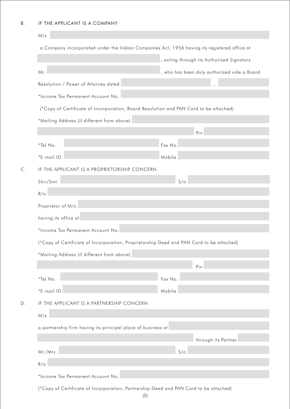|                                                              | , acting through its Authorized Signatory                                                |
|--------------------------------------------------------------|------------------------------------------------------------------------------------------|
| Mr.                                                          | , who has been duly authorized vide a Board                                              |
| Resolution / Power of Attorney dated                         |                                                                                          |
| *Income Tax Permanent Account No.                            |                                                                                          |
|                                                              | (*Copy of Certificate of Incorporation, Board Resolution and PAN Card to be attached)    |
| *Mailing Address (if different from above)                   |                                                                                          |
|                                                              | Pin                                                                                      |
| *Tel No.                                                     | Fax No.                                                                                  |
| *E-mail ID                                                   | Mobile                                                                                   |
| IF THE APPLICANT IS A PROPRIETORSHIP CONCERN                 |                                                                                          |
| Shri/Smt.                                                    | $S/\circ$                                                                                |
| $R/\circ$                                                    |                                                                                          |
| Proprietor of M/s.                                           |                                                                                          |
| having its office at                                         |                                                                                          |
| *Income Tax Permanent Account No.                            |                                                                                          |
|                                                              | (*Copy of Certificate of Incorporation, Proprietorship Deed and PAN Card to be attached) |
| *Mailing Address (if different from above)                   |                                                                                          |
|                                                              | Pin                                                                                      |
| *Tel No.                                                     | Fax No.                                                                                  |
| *E-mail ID                                                   | Mobile                                                                                   |
| IF THE APPLICANT IS A PARTNERSHIP CONCERN                    |                                                                                          |
| M/s.                                                         |                                                                                          |
| a partnership firm having its principal place of business at |                                                                                          |
|                                                              | through its Partner                                                                      |
| Mr./Mrs.                                                     | $S/\circ$                                                                                |
|                                                              |                                                                                          |
| $R/\circ$                                                    |                                                                                          |

(5)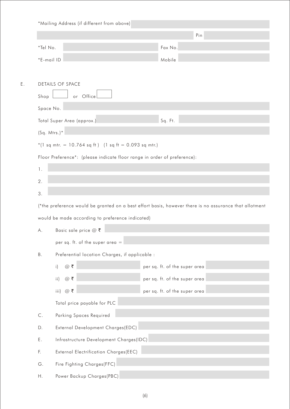|                                |                                                                          | Pin                                                                                                    |
|--------------------------------|--------------------------------------------------------------------------|--------------------------------------------------------------------------------------------------------|
| *Tel No.                       |                                                                          | Fax No.                                                                                                |
|                                | *E-mail ID                                                               | Mobile                                                                                                 |
|                                | <b>DETAILS OF SPACE</b>                                                  |                                                                                                        |
| Shop                           | or Office                                                                |                                                                                                        |
|                                | Space No.                                                                |                                                                                                        |
|                                | Total Super Area (approx.)                                               | Sq. Ft.                                                                                                |
|                                | $(Sq. Mtrs.)*$                                                           |                                                                                                        |
|                                | *(1 sq mtr. = 10.764 sq ft) (1 sq ft = 0.093 sq mtr.)                    |                                                                                                        |
|                                | Floor Preference*: (please indicate floor range in order of preference): |                                                                                                        |
| $\mathbf{1}$ .                 |                                                                          |                                                                                                        |
| 2.                             |                                                                          |                                                                                                        |
|                                |                                                                          |                                                                                                        |
|                                |                                                                          |                                                                                                        |
|                                |                                                                          |                                                                                                        |
| 3.                             |                                                                          | (*the preference would be granted on a best effort basis, however there is no assurance that allotment |
| Α.                             | would be made according to preference indicated)                         |                                                                                                        |
|                                | Basic sale price $@ \space \overline{\mathbf{z}}$                        |                                                                                                        |
|                                | per sq. ft. of the super area =                                          |                                                                                                        |
|                                | Preferential location Charges, if applicable :                           |                                                                                                        |
|                                | @ ₹<br>$\mathsf{i}$                                                      | per sq. ft. of the super area                                                                          |
|                                | $@$ ₹<br>$\mathsf{ii}$                                                   | per sq. ft. of the super area                                                                          |
|                                | iii) $@$ ₹                                                               | per sq. ft. of the super area                                                                          |
|                                | Total price payable for PLC                                              |                                                                                                        |
|                                | Parking Spaces Required                                                  |                                                                                                        |
|                                | External Development Charges(EDC)                                        |                                                                                                        |
| Β.<br>$\mathsf C.$<br>D.<br>Ε. | Infrastructure Development Charges(IDC)                                  |                                                                                                        |
| F.<br>G.                       | External Electrification Charges(EEC)<br>Fire Fighting Charges(FFC)      |                                                                                                        |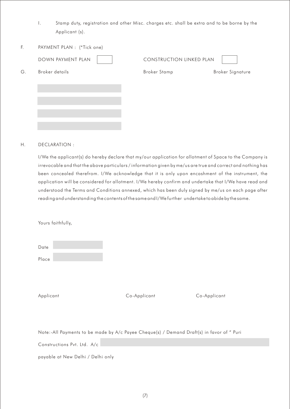- I. Stamp duty, registration and other Misc. charges etc. shall be extra and to be borne by the Applicant (s).
- F. PAYMENT PLAN : (\*Tick one)

|    | DOWN PAYMENT PLAN | <b>CONSTRUCTION LINKED PLAN</b> |                         |
|----|-------------------|---------------------------------|-------------------------|
| G. | Broker details    | <b>Broker Stamp</b>             | <b>Broker Signature</b> |
|    |                   |                                 |                         |
|    |                   |                                 |                         |
|    |                   |                                 |                         |
|    |                   |                                 |                         |

## H. DECLARATION :

I/We the applicant(s) do hereby declare that my/our application for allotment of Space to the Company is irrevocable and that the above particulars / information given by me/us are true and correct and nothing has been concealed therefrom. I/We acknowledge that it is only upon encashment of the instrument, the application will be considered for allotment. I/We hereby confirm and undertake that I/We have read and understood the Terms and Conditions annexed, which has been duly signed by me/us on each page after reading and understanding the contents of the same and I/We further undertake to abide by the same.

Yours faithfully,

| Date  |  |  |
|-------|--|--|
|       |  |  |
| Place |  |  |

Applicant Co-Applicant Co-Applicant

Note:-All Payments to be made by A/c Payee Cheque(s) / Demand Draft(s) in favor of " Puri

Constructions Pvt. Ltd. A/c

payable at New Delhi / Delhi only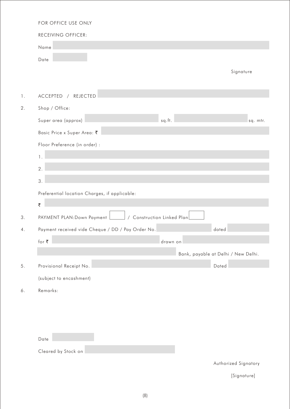|                | FOR OFFICE USE ONLY                                      |                                     |
|----------------|----------------------------------------------------------|-------------------------------------|
|                | RECEIVING OFFICER:                                       |                                     |
|                | Name                                                     |                                     |
|                | Date                                                     |                                     |
|                |                                                          | Signature                           |
|                |                                                          |                                     |
| $\mathbf{1}$ . | ACCEPTED<br>REJECTED<br>$\sqrt{2}$                       |                                     |
| 2.             | Shop / Office:                                           |                                     |
|                | Super area (approx)<br>sq.ft.                            | sq. mtr.                            |
|                | Basic Price x Super Area: ₹                              |                                     |
|                | Floor Preference (in order) :                            |                                     |
|                | $\mathbf{1}$ .                                           |                                     |
|                | 2.                                                       |                                     |
|                | 3.                                                       |                                     |
|                | Preferential location Charges, if applicable:            |                                     |
|                | ₹                                                        |                                     |
| 3.             | / Construction Linked Plan<br>PAYMENT PLAN: Down Payment |                                     |
| 4.             | Payment received vide Cheque / DD / Pay Order No.        | dated                               |
|                | for $\overline{\boldsymbol{\mathsf{c}}}$<br>drawn on     |                                     |
|                |                                                          | Bank, payable at Delhi / New Delhi. |
| $5.$           | Provisional Receipt No.                                  | Dated                               |
|                | (subject to encashment)                                  |                                     |
| 6.             | Remarks:                                                 |                                     |
|                |                                                          |                                     |
|                |                                                          |                                     |
|                |                                                          |                                     |
|                | Date                                                     |                                     |
|                | Cleared by Stock on                                      |                                     |
|                |                                                          | Authorized Signatory                |

[Signature]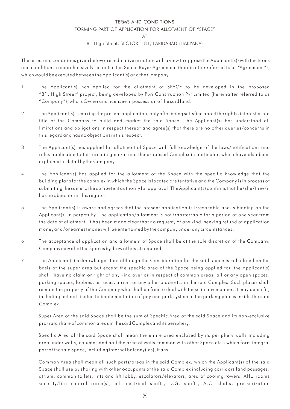## TERMS AND CONDITIONS FORMING PART OF APPLICATION FOR ALLOTMENT OF "SPACE"  $\Delta$ T 81 High Street, SECTOR – 81, FARIDABAD (HARYANA)

The terms and conditions given below are indicative in nature with a view to apprise the Applicant(s)\with the terms and conditions comprehensively set out in the Space Buyer Agreement (herein after referred to as "Agreement "), which would be executed between the Applicant(s) and the Company.

- 1. The Applicant(s) has applied for the allotment of SPACE to be developed in the proposed "81, High Street" project, being developed by Puri Construction Pvt Limited (hereinafter referred to as "Company "), who is Owner and licensee in possession of the said land.
- 2. The Applicant(s) is making the present application, only after being satisfied about the rights, interest a n d title of the Company to build and market the said Space. The Applicant(s) has understood all limitations and obligations in respect thereof and agree(s) that there are no other queries/concerns in this regard and has no objections in this respect.
- 3. The Applicant(s) has applied for allotment of Space with full knowledge of the laws/notifications and rules applicable to this area in general and the proposed Complex in particular, which have also been explained in detail by the Company.
- 4. The Applicant(s) has applied for the allotment of the Space with the specific knowledge that the building plans for the complex in which the Space is located are tentative and the Company is in process of submitting the same to the competent authority for approval. The Applicant(s) confirms that he/she/they/it has no objection in this regard.
- 5. The Applicant(s) is aware and agrees that the present application is irrevocable and is binding on the Applicant(s) in perpetuity. The application/allotment is not transferrable for a period of one year from the date of allotment. It has been made clear that no request, of any kind, seeking refund of application money and/or earnest money will be entertained by the company under any circumstances.
- 6. The acceptance of application and allotment of Space shall be at the sole discretion of the Company. Company may allot the Spaces by draw of lots, if required.
- 7. The Applicant(s) acknowledges that although the Consideration for the said Space is calculated on the basis of the super area but except the specific area of the Space being applied for, the Applicant(s) shall have no claim or right of any kind over or in respect of common areas, all or any open spaces, parking spaces, lobbies, terraces, atrium or any other place etc. in the said Complex. Such places shall remain the property of the Company who shall be free to deal with these in any manner, it may deem fit, including but not limited to implementation of pay and park system in the parking places inside the said Complex.

Super Area of the said Space shall be the sum of Specific Area of the said Space and its non-exclusive pro-rata share of common areas in the said Complex and its periphery.

Specific Area of the said Space shall mean the entire area enclosed by its periphery walls including area under walls, columns and half the area of walls common with other Space etc., which form integral part of the said Space, including internal balcony(ies), if any.

Common Area shall mean all such parts/areas in the said Complex, which the Applicant(s) of the said Space shall use by sharing with other occupants of the said Complex including corridors land passages, atrium, common toilets, lifts and lift lobby, escalators/elevators, area of cooling towers, AHU rooms security/fire control room(s), all electrical shafts, D.G. shafts, A.C. shafts, pressurization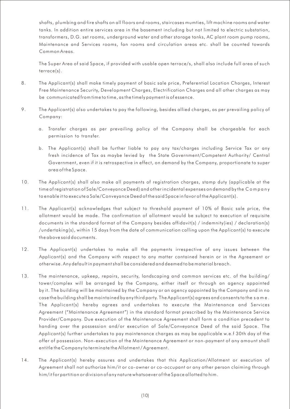shafts, plumbing and fire shafts on all floors and rooms, staircases mumties, lift machine rooms and water tanks. In addition entire services area in the basement including but not limited to electric substation, transformers, D.G. set rooms, underground water and other storage tanks, AC plant room pump rooms, Maintenance and Services rooms, fan rooms and circulation areas etc. shall be counted towards Common Areas.

The Super Area of said Space, if provided with usable open terrace/s, shall also include full area of such terrace(s).

- 8. The Applicant(s) shall make timely payment of basic sale price, Preferential Location Charges, Interest Free Maintenance Security, Development Charges, Electrification Charges and all other charges as may be communicated from time to time, as the timely payment is of essence.
- 9. The Applicant(s) also undertakes to pay the following, besides allied charges, as per prevailing policy of Company:
	- a. Transfer charges as per prevailing policy of the Company shall be chargeable for each permission to transfer.
	- b. The Applicant(s) shall be further liable to pay any tax/charges including Service Tax or any fresh incidence of Tax as maybe levied by the State Government/Competent Authority/ Central Government, even if it is retrospective in effect, on demand by the Company, proportionate to super area of the Space.
- 10. The Applicant(s) shall also make all payments of registration charges, stamp duty (applicable at the time of registration of Sale/Conveyance Deed) and other incidental expenses on demand by the C o m p a n y to enable it to execute a Sale/Conveyance Deed of the said Space in favor of the Applicant(s).
- 11. The Applicant(s) acknowledges that subject to threshold payment of 10% of Basic sale price, the allotment would be made. The confirmation of allotment would be subject to execution of requisite documents in the standard format of the Company besides affidavit(s) / indemnity(ies) / declaration(s) /undertaking(s), within 15 days from the date of communication calling upon the Applicant(s) to execute the above said documents.
- 12. The Applicant(s) undertakes to make all the payments irrespective of any issues between the Applicant(s) and the Company with respect to any matter contained herein or in the Agreement or otherwise. Any default in payment shall be considered and deemed to be material breach.
- 13. The maintenance, upkeep, repairs, security, landscaping and common services etc. of the building/ tower/complex will be arranged by the Company, either itself or through an agency appointed by it. The building will be maintained by the Company or an agency appointed by the Company and in no case the building shall be maintained by any third party. The Applicant(s) agrees and consents to the s a m e . The Applicant(s) hereby agrees and undertakes to execute the Maintenance and Services Agreement ("Maintenance Agreement") in the standard format prescribed by the Maintenance Service Provider/Company. Due execution of the Maintenance Agreement shall form a condition precedent to handing over the possession and/or execution of Sale/Conveyance Deed of the said Space. The Applicant(s) further undertakes to pay maintenance charges as may be applicable w.e.f 30th day of the offer of possession. Non-execution of the Maintenance Agreement or non-payment of any amount shall entitle the Company to terminate the Allotment / Agreement.
- 14. The Applicant(s) hereby assures and undertakes that this Application/Allotment or execution of Agreement shall not authorize him/it or co-owner or co-occupant or any other person claiming through him/it for partition or division of any nature whatsoever of the Space allotted to him.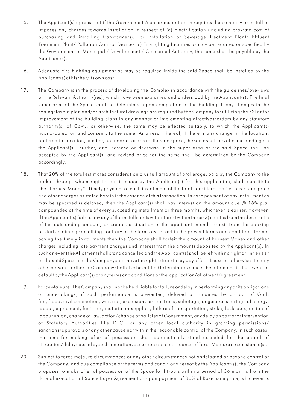- 15. The Applicant(s) agrees that if the Government /concerned authority requires the company to install or imposes any charges towards installation in respect of (a) Electrification (including pro-rata cost of purchasing and installing transformers), (b) Installation of Sewerage Treatment Plant/ Effluent Treatment Plant/ Pollution Control Devices (c) Firefighting facilities as may be required or specified by the Government or Municipal / Development / Concerned Authority, the same shall be payable by the Applicant(s).
- 16. Adequate Fire Fighting equipment as may be required inside the said Space shall be installed by the Applicant(s) at his/her/its own cost.
- 17. The Company is in the process of developing the Complex in accordance with the guidelines/bye-laws of the Relevant Authority(ies), which have been explained and understood by the Applicant(s). The final super area of the Space shall be determined upon completion of the building. If any changes in the zoning/layout plan and/or architectural drawings are required by the Company for utilizing the FSI or for improvement of the building plans in any manner or implementing directives/orders by any statutory authority(s) of Govt., or otherwise, the same may be effected suitably, to which the Applicant(s) has no-objection and consents to the same. As a result thereof, if there is any change in the location, preferential location, number, boundaries or area of the said Space, the same shall be valid and binding o n the Applicant(s). Further, any increase or decrease in the super area of the said Space shall be accepted by the Applicant(s) and revised price for the same shall be determined by the Company accordingly.
- 18. That 20% of the total estimates consideration plus full amount of brokerage, paid by the Company to the broker through whom registration is made by the Applicant(s) for this application, shall constitute the "Earnest Money ". Timely payment of each installment of the total consideration i.e. basic sale price and other charges as stated herein is the essence of this transaction. In case payment of any installment as may be specified is delayed, then the Applicant(s) shall pay interest on the amount due @ 18% p.a. compounded at the time of every succeeding installment or three months, whichever is earlier. However, if the Applicant(s) fails to pay any of the installments with interest within three (3) months from the due d a t e of the outstanding amount, or creates a situation in the applicant intends to exit from the booking or starts claiming something contrary to the terms as set out in the present terms and conditions for not paying the timely installments then the Company shall forfeit the amount of Earnest Money and other charges including late payment charges and interest from the amounts deposited by the Applicant(s). In such an event the Allotment shall stand cancelled and the Applicant(s) shall be left with no right or interest on the said Space and the Company shall have the right to transfer by way of Sub-Lease or otherwise to any other person. Further the Company shall also be entitled to terminate/cancel the allotment in the event of default by the Applicant(s) of any terms and conditions of the application/allotment/agreement.
- 19. Force Majeure: The Company shall not be held liable for failure or delay in performing any of its obligations or undertakings, if such performance is prevented, delayed or hindered by an act of God, fire, flood, civil commotion, war, riot, explosion, terrorist acts, sabotage, or general shortage of energy, labour, equipment, facilities, material or supplies, failure of transportation, strike, lock-outs, action of labour union, change of Law, action/change of policies of Government, any delay on part of or intervention of Statutory Authorities like DTCP or any other local authority in granting permissions/ sanctions/approvals or any other cause not within the reasonable control of the Company. In such cases, the time for making offer of possession shall automatically stand extended for the period of disruption/delay caused by such operation, occurrence or continuance of Force Majeure circumstance(s).
- 20. Subject to force majeure circumstances or any other circumstances not anticipated or beyond control of the Company; and due compliance of the terms and conditions hereof by the Applicant(s), the Company proposes to make offer of possession of the Space for fit-outs within a period of 36 months from the date of execution of Space Buyer Agreement or upon payment of 30% of Basic sale price, whichever is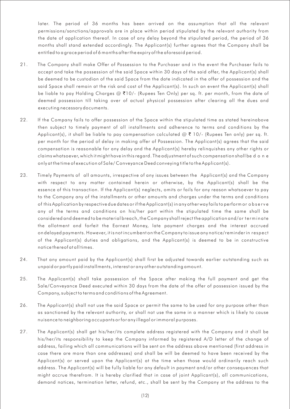later. The period of 36 months has been arrived on the assumption that all the relevant permissions/sanctions/approvals are in place within period stipulated by the relevant authority from the date of application thereof. In case of any delay beyond the stipulated period, the period of 36 months shall stand extended accordingly. The Applicant(s) further agrees that the Company shall be entitled to a grace period of 6 months after the expiry of the aforesaid period.

- 21. The Company shall make Offer of Possession to the Purchaser and in the event the Purchaser fails to accept and take the possession of the said Space within 30 days of the said offer, the Applicant(s) shall be deemed to be custodian of the said Space from the date indicated in the offer of possession and the said Space shall remain at the risk and cost of the Applicant(s). In such an event the Applicant(s) shall be liable to pay Holding Charges @ ₹10/- (Rupees Ten Only) per sq. ft. per month, from the date of deemed possession till taking over of actual physical possession after clearing all the dues and executing necessary documents.
- 22. If the Company fails to offer possession of the Space within the stipulated time as stated hereinabove then subject to timely payment of all installments and adherence to terms and conditions by the Applicant(s), it shall be liable to pay compensation calculated  $@ \t{7} 10/-$  (Rupees Ten only) per sq. ft. per month for the period of delay in making offer of Possession. The Applicant(s) agrees that the said compensation is reasonable for any delay and the Applicant(s) hereby relinquishes any other rights or claims whatsoever, which it might have in this regard. The adjustment of such compensation shall be d o n e only at the time of execution of Sale/ Conveyance Deed conveying title to the Applicant(s).
- 23. Timely Payments of all amounts, irrespective of any issues between the Applicant(s) and the Company with respect to any matter contained herein or otherwise, by the Applicant(s) shall be the essence of this transaction. If the Applicant(s) neglects, omits or fails for any reason whatsoever to pay to the Company any of the installments or other amounts and charges under the terms and conditions of this Application by respective due dates or if the Applicant(s) in any other way fails to perform or o b s e r v e any of the terms and conditions on his/her part within the stipulated time the same shall be considered and deemed to be material breach, the Company shall reject the application and/or terminate the allotment and forfeit the Earnest Money, late payment charges and the interest accrued on delayed payments. However, it is not incumbent on the Company to issue any notice/reminder in respec t of the Applicant(s) duties and obligations, and the Applicant(s) is deemed to be in constructive notice thereof at all times.
- 24. That any amount paid by the Applicant(s) shall first be adjusted towards earlier outstanding such as unpaid or partly paid installments, interest or any other outstanding amount.
- 25. The Applicant(s) shall take possession of the Space after making the full payment and get the Sale/Conveyance Deed executed within 30 days from the date of the offer of possession issued by the Company, subject to terms and conditions of the Agreement.
- 26. The Applicant(s) shall not use the said Space or permit the same to be used for any purpose other than as sanctioned by the relevant authority, or shall not use the same in a manner which is likely to cause nuisance to neighboring occupants or for any illegal or immoral purposes.
- 27. The Applicant(s) shall get his/her/its complete address registered with the Company and it shall be his/her/its responsibility to keep the Company informed by registered A/D letter of the change of address, failing which all communications will be sent on the address above mentioned (first address in case there are more than one addresses) and shall be will be deemed to have been received by the Applicant(s) or served upon the Applicant(s) at the time when those would ordinarily reach such address. The Applicant(s) will be fully liable for any default in payment and/or other consequences that might accrue therefrom. It is hereby clarified that in case of joint Applicant(s), all communications, demand notices, termination letter, refund, etc., shall be sent by the Company at the address to the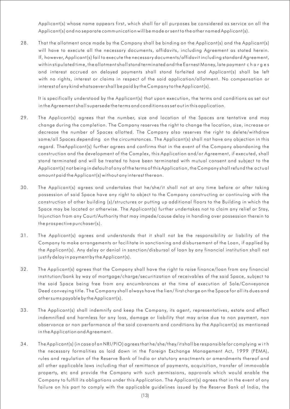Applicant(s) whose name appears first, which shall for all purposes be considered as service on all the Applicant(s) and no separate communication will be made or sent to the other named Applicant(s).

28. That the allotment once made by the Company shall be binding on the Applicant(s) and the Applicant(s) will have to execute all the necessary documents, affidavits, including Agreement as stated herein. If, however, Applicant(s) fail to execute the necessary documents/affidavit including standard Agreement, within stipulated time, the allotment shall stand terminated and the Earnest Money, late payment c h a r g e s and interest accrued on delayed payments shall stand forfeited and Applicant(s) shall be left with no rights, interest or claims in respect of the said application/allotment. No compensation or interest of any kind whatsoever shall be paid by the Company to the Applicant(s).

It is specifically understood by the Applicant(s) that upon execution, the terms and conditions as set out in the Agreement shall supersede the terms and conditions as set out in this application.

- 29. The Applicant(s) agrees that the number, size and location of the Spaces are tentative and may change during the completion. The Company reserves the right to change the location, size, increase or decrease the number of Spaces allotted. The Company also reserves the right to delete/withdraw some/all Spaces depending on the circumstances. The Applicant(s) shall not have any objection in this regard. TheApplicant(s) further agrees and confirms that in the event of the Company abandoning the construction and the development of the Complex, this Application and/or Agreement, if executed, shall stand terminated and will be treated to have been terminated with mutual consent and subject to the Applicant(s) not being in default of any of the terms of this Application, the Company shall refund the ac tual amount paid the Applicant(s) without any interest thereon.
- 30. The Applicant(s) agrees and undertakes that he/she/it shall not at any time before or after taking possession of said Space have any right to object to the Company constructing or continuing with the construction of other building (s)/structures or putting up additional floors to the Building in which the Space may be located or otherwise. The Applicant(s) further undertakes not to claim any relief or Stay, Injunction from any Court/Authority that may impede/cause delay in handing over possession therein to the prospective purchaser(s).
- 31. The Applicant(s) agrees and understands that it shall not be the responsibility or liability of the Company to make arrangements or facilitate in sanctioning and disbursement of the Loan, if applied by the Applicant(s). Any delay or denial in sanction/disbursal of loan by any financial institution shall not justify delay in payment by the Applicant(s).
- 32. The Applicant(s) agrees that the Company shall have the right to raise finance/loan from any financial institution/bank by way of mortgage/charge/securitization of receivables of the said Space, subject to the said Space being free from any encumbrances at the time of execution of Sale/Conveyance Deed conveying title. The Company shall always have the lien/ first charge on the Space for all its dues and other sums payable by the Applicant(s).
- 33. The Applicant(s) shall indemnify and keep the Company, its agent, representatives, estate and effect indemnified and harmless for any loss, damage or liability that may arise due to non payment, non observance or non performance of the said covenants and conditions by the Applicant(s) as mentioned in the Application and Agreement.
- 34. The Applicant(s) (in case of an NRI/PIO) agrees that he/she/they/it shall be responsible for complying w i t h the necessary formalities as laid down in the Foreign Exchange Management Act, 1999 (FEMA), rules and regulation of the Reserve Bank of India or statutory enactments or amendments thereof and all other applicable laws including that of remittance of payments, acquisition, transfer of immovable property, etc and provide the Company with such permissions, approvals which would enable the Company to fulfill its obligations under this Application. The Applicant(s) agrees that in the event of any failure on his part to comply with the applicable guidelines issued by the Reserve Bank of India, the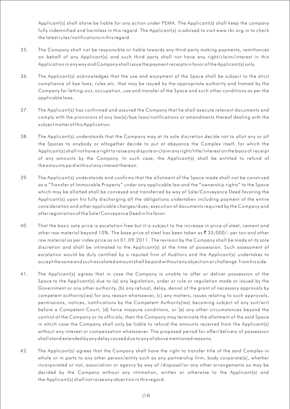Applicant(s) shall alone be liable for any action under FEMA. The Applicant(s) shall keep the company fully indemnified and harmless in this regard. The Applicant(s) is advised to visit www.rbi.org.in to check the latest rules/notifications in this regard.

- 35. The Company shall not be responsible or liable towards any third party making payments, remittances on behalf of any Applicant(s) and such third party shall not have any right/claim/interest in this Application in any way and Company shall issue the payment receipts in favor of the Applicant(s) only.
- 36. The Applicant(s) acknowledges that the use and enjoyment of the Space shall be subject to the strict compliance of bye laws, rules etc. that may be issued by the appropriate authority and framed by the Company for letting-out, occupation, use and transfer of the Space and such other conditions as per the applicable laws.
- 37. The Applicant(s) has confirmed and assured the Company that he shall execute relevant documents and comply with the provisions of any law(s)/bye laws/notifications or amendments thereof dealing with the subject matter of this Application.
- 38. The Applicant(s) understands that the Company may at its sole discretion decide not to allot any or all the Spaces to anybody or altogether decide to put at abeyance the Complex itself, for which the Applicant(s) shall not have a right to raise any dispute or claim any right/title/interest on the basis of receipt of any amounts by the Company. In such case, the Applicant(s) shall be entitled to refund of the amounts paid without any interest thereon.
- 39. The Applicant(s) understands and confirms that the allotment of the Space made shall not be construed as a "Transfer of Immovable Property " under any applicable law and the "ownership rights" to the Space which may be allotted shall be conveyed and transferred by way of Sale/Conveyance Deed favoring the Applicant(s) upon his fully discharging all the obligations undertaken including payment of the entire consideration and other applicable charges/dues, execution of documents required by the Company and after registration of the Sale/Conveyance Deed in his favor.
- 40. That the basic sale price is escalation free but it is subject to the increase in price of steel, cement and other raw material beyond 10%. The base price of steel has been taken as  $\bar{\mathfrak{r}}$  35,000/- per ton and other raw material as per index price as on 01.09.2011. The revision by the Company shall be made at its sole discretion and shall be intimated to the Applicant(s) at the time of possession. Such assessment of escalation would be duly certified by a reputed firm of Auditors and the Applicant(s) undertakes to accept the same and such escalated amount shall be paid without any objection or challenge from his side.
- 41. The Applicant(s) agrees that in case the Company is unable to offer or deliver possession of the Space to the Applicant(s) due to (a) any legislation, order or rule or regulation made or issued by the Government or any other authority, (b) any refusal, delay, denial of the grant of necessary approvals by competent authority(ies) for any reason whatsoever, (c) any matters, issues relating to such approvals, permissions, notices, notifications by the Competent Authority(ies) becoming subject of any suit/writ before a Competent Court, (d) force majeure conditions, or (e) any other circumstances beyond the control of the Company or its officials, then the Company may terminate the allotment of the said Space in which case the Company shall only be liable to refund the amounts received from the Applicant(s) without any interest or compensation whatsoever. The proposed period for offer/delivery of possession shall stand extended by any delay caused due to any of above mentioned reasons.
- 42. The Applicant(s) agrees that the Company shall have the right to transfer title of the said Complex in whole or in parts to any other person/entity such as any partnership firm, body corporate(s), whether incorporated or not, association or agency by way of /disposal/or any other arrangements as may be decided by the Company without any intimation, written or otherwise to the Applicant(s) and the Applicant(s) shall not raise any objection in this regard.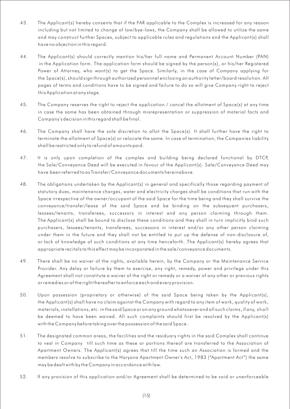- 43. The Applicant(s) hereby consents that if the FAR applicable to the Complex is increased for any reason including but not limited to change of law/bye-laws, the Company shall be allowed to utilize the same and may construct further Spaces, subject to applicable rules and regulations and the Applicant(s) shall have no objection in this regard.
- 44. The Applicant(s) should correctly mention his/her full name and Permanent Account Number (PAN) in the Application form. The application form should be signed by the person(s), or his/her Registered Power of Attorney, who want(s) to get the Space. Similarly, in the case of Company applying for the Space(s), should sign through authorized personnel enclosing an authority letter/board resolution. All pages of terms and conditions have to be signed and failure to do so will give Company right to reject this Application at any stage.
- 45. The Company reserves the right to reject the application / cancel the allotment of Space(s) at any time in case the same has been obtained through misrepresentation or suppression of material facts and Company's decision in this regard shall be final.
- 46. The Company shall have the sole discretion to allot the Space(s). It shall further have the right to terminate the allotment of Space(s) or relocate the same. In case of termination, the Companies liability shall be restricted only to refund of amounts paid.
- 47. It is only upon completion of the complex and building being declared functional by DTCP, the Sale/Conveyance Deed will be executed in favour of the Applicant(s). Sale/Conveyance Deed may have been referred to as Transfer/Conveyance documents hereinabove.
- 48. The obligations undertaken by the Applicant(s) in general and specifically those regarding payment of statutory dues, maintenance charges, water and electricity charges shall be conditions that run with the Space irrespective of the owner/occupant of the said Space for the time being and they shall survive the conveyance/transfer/lease of the said Space and be binding on the subsequent purchasers, lessees/tenants, transferees, successors in interest and any person claiming through them. The Applicant(s) shall be bound to disclose these conditions and they shall in turn implicitly bind such purchasers, lessees/tenants, transferees, successors in interest and/or any other person claiming under them in the future and they shall not be entitled to put up the defense of non-disclosure of, or lack of knowledge of such conditions at any time henceforth. The Applicant(s) hereby agrees that appropriate recitals to this effect may be incorporated in the sale/conveyance documents.
- 49. There shall be no waiver of the rights, available herein, by the Company or the Maintenance Service Provider. Any delay or failure by them to exercise, any right, remedy, power and privilege under this Agreement shall not constitute a waiver of the right or remedy or a waiver of any other or previous rights or remedies or of the right thereafter to enforce each and every provision.
- 50. Upon possession (proprietary or otherwise) of the said Space being taken by the Applicant(s), the Applicant(s) shall have no claim against the Company with regard to any item of work, quality of work, materials, installations, etc. in the said Space or on any ground whatsoever and all such claims, if any, shall be deemed to have been waived. All such complaints should first be resolved by the Applicant(s) with the Company before taking over the possession of the said Space.
- 51. The designated common areas, the facilities and the residuary rights in the said Complex shall continue to vest in Company till such time as these or portions thereof are transferred to the Association of Apartment Owners. The Applicant(s) agrees that till the time such an Association is formed and the members resolve to subscribe to the Haryana Apartment Owner's Act, 1983 ("Apartment Act ") the same may be dealt with by the Company in accordance with law.
- 52. If any provision of this application and/or Agreement shall be determined to be void or unenforceable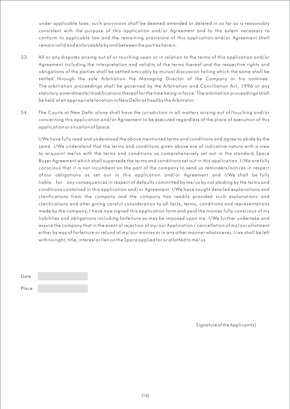under applicable laws, such provisions shall be deemed amended or deleted in so far as is reasonably consistent with the purpose of this application and/or Agreement and to the extent necessary to conform to applicable law and the remaining provisions of this application and/or Agreement shall remain valid and enforceable by and between the parties herein.

- 53. All or any disputes arising out of or touching upon or in relation to the terms of this application and/or Agreement including the interpretation and validity of the terms thereof and the respective rights and obligations of the parties shall be settled amicably by mutual discussion failing which the same shall be settled through the sole Arbitration the Managing Director of the Company or his nominee. The arbitration proceedings shall be governed by the Arbitration and Conciliation Act, 1996 or any statutory amendments/modifications thereof for the time being in force. The arbitration proceedings shall be held at an appropriate location in New Delhi as fixed by the Arbitrator.
- 54. The Courts at New Delhi alone shall have the jurisdiction in all matters arising out of/touching and/or concerning this application and/or Agreement to be executed regardless of the place of execution of this application or situation of Space.

I/We have fully read and understood the above mentioned terms and conditions and agree to abide by the same. I/We understand that the terms and conditions given above are of indicative nature with a view to acquaint me/us with the terms and conditions as comprehensively set out in the standard Space Buyer Agreement which shall supersede the terms and conditions set out in this application. I/We are fully conscious that it is not incumbent on the part of the company to send us reminders/notices in respect ofour obligations as set out in this application and/or Agreement and I/We shall be fully liable for any consequences in respect of defaults committed by me/us by not abiding by the terms and conditions contained in this application and/or Agreement. I/We have sought detailed explanations and clarifications from the company and the company has readily provided such explanations and clarifications and after giving careful consideration to all facts, terms, conditions and representations made by the company, I have now signed this application form and paid the monies fully conscious of my liabilities and obligations including forfeiture as may be imposed upon me. I/We further undertake and assure the company that in the event of rejection of my/our Application / cancellation of my/our allotment either by way of forfeiture or refund of my/our monies or in any other manner whatsoever, I/we shall be left with no right, title, interest or lien on the Space applied for or allotted to me/us.

| Date  |  |
|-------|--|
| Place |  |

Signature of the Applicant(s)